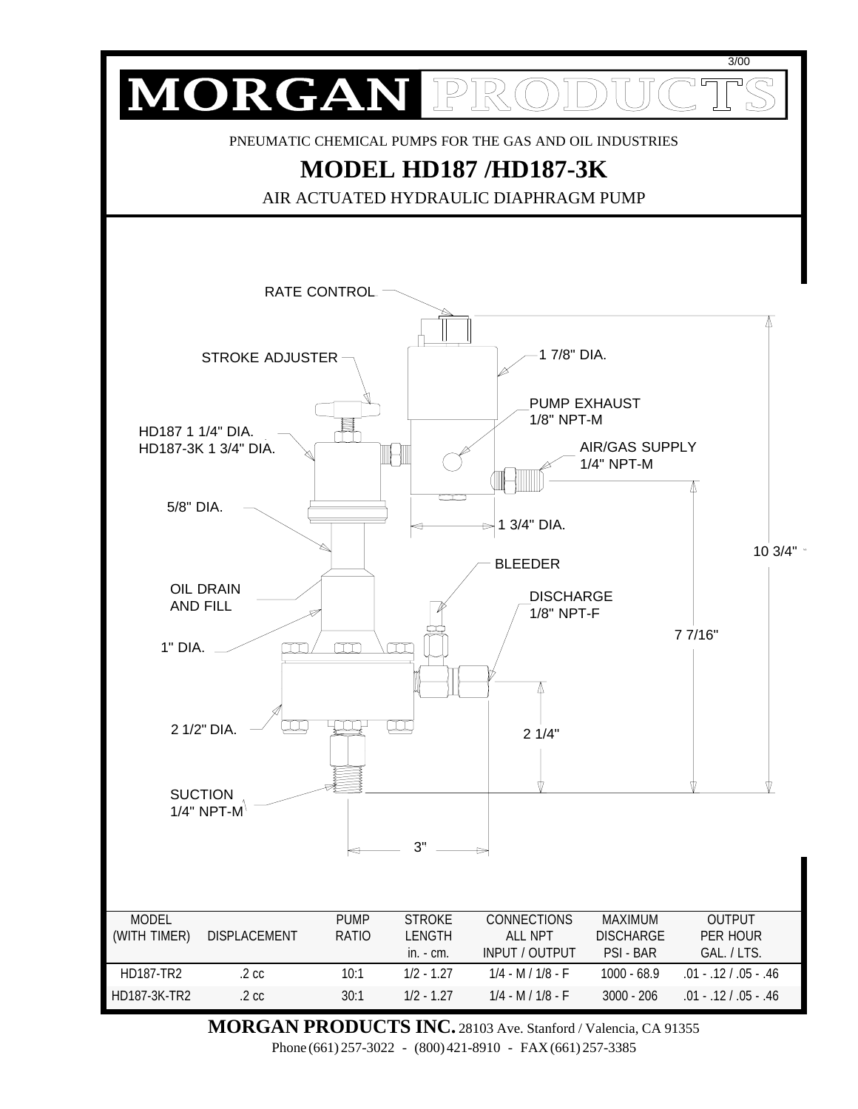

**MORGAN PRODUCTS INC.** 28103 Ave. Stanford / Valencia, CA 91355 Phone (661) 257-3022 - (800) 421-8910 - FAX (661) 257-3385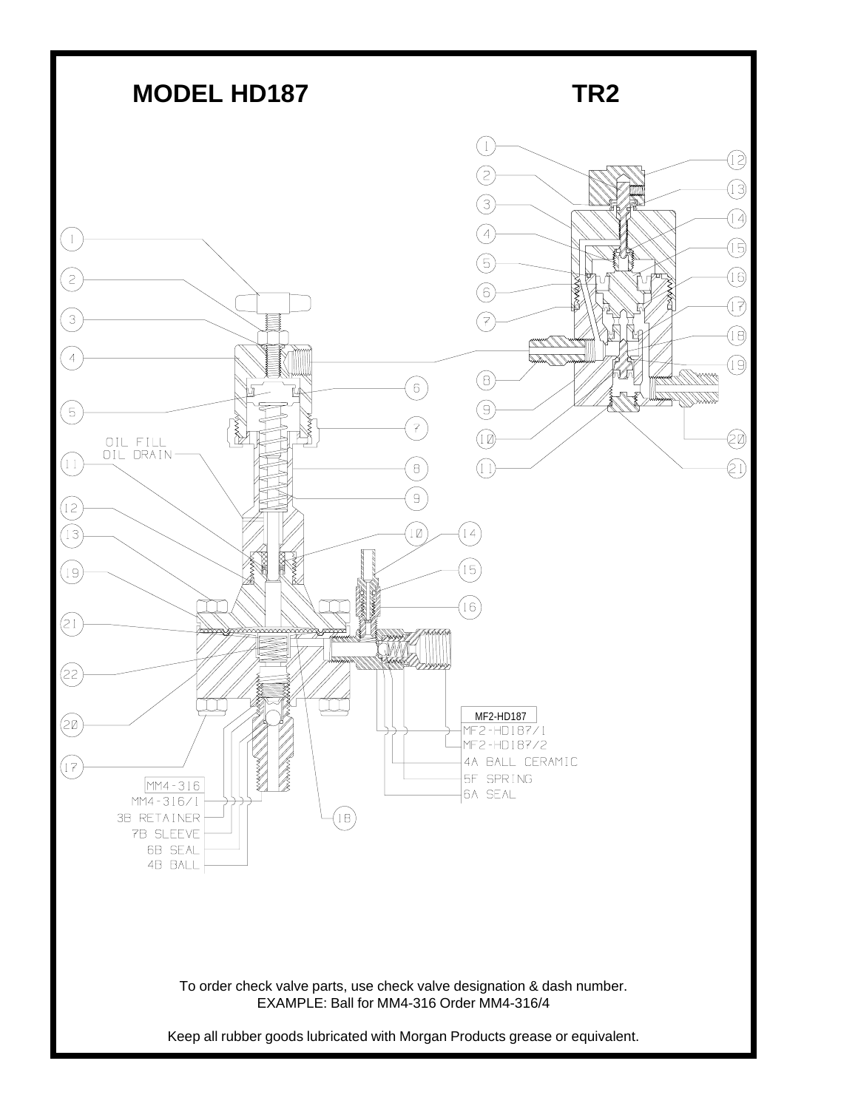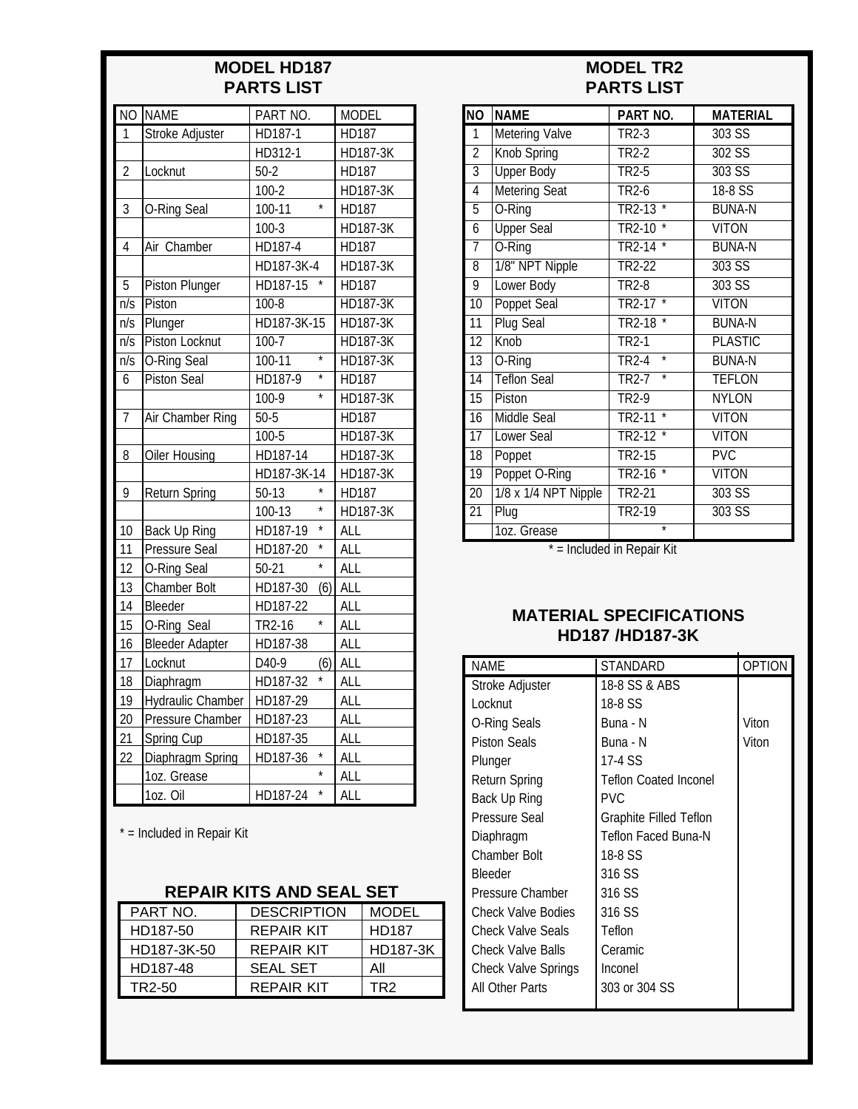### **MODEL HD187 PARTS LIST**

| $\overline{NO}$  | <b>NAME</b>             | PART NO.                      | <b>MODEL</b>    |  |
|------------------|-------------------------|-------------------------------|-----------------|--|
| 1                | <b>Stroke Adjuster</b>  | HD187-1                       | <b>HD187</b>    |  |
|                  |                         | HD312-1                       | HD187-3K        |  |
| $\overline{2}$   | Locknut                 | $50-2$                        | HD187           |  |
|                  |                         | $100 - 2$                     | HD187-3K        |  |
| 3                | O-Ring Seal             | $\star$<br>100-11             | HD187           |  |
|                  |                         | $100-3$                       | HD187-3K        |  |
| $\overline{4}$   | Air Chamber             | HD187-4                       | HD187           |  |
|                  |                         | HD187-3K-4                    | HD187-3K        |  |
| 5                | <b>Piston Plunger</b>   | HD187-15                      | HD187           |  |
| $\overline{n/s}$ | Piston                  | $100 - 8$                     | <b>HD187-3K</b> |  |
| n/s              | Plunger                 | HD187-3K-15                   | HD187-3K        |  |
| $\overline{n/s}$ | Piston Locknut          | $100 - 7$                     | <b>HD187-3K</b> |  |
| n/s              | <b>O-Ring Seal</b>      | $\overline{\ast}$<br>$100-11$ | <b>HD187-3K</b> |  |
| 6                | <b>Piston Seal</b>      | $\overline{\ast}$<br>HD187-9  | HD187           |  |
|                  |                         | $\overline{\ast}$<br>100-9    | HD187-3K        |  |
| $\overline{7}$   | <b>Air Chamber Ring</b> | $50-5$                        | <b>HD187</b>    |  |
|                  |                         | 100-5                         | <b>HD187-3K</b> |  |
| 8                | <b>Oiler Housing</b>    | HD187-14                      | HD187-3K        |  |
|                  |                         | HD187-3K-14                   | HD187-3K        |  |
| 9                | <b>Return Spring</b>    | $50-13$                       | HD187           |  |
|                  |                         | $\star$<br>100-13             | HD187-3K        |  |
| 10               | <b>Back Up Ring</b>     | $\star$<br>HD187-19           | <b>ALL</b>      |  |
| 11               | Pressure Seal           | $\star$<br>HD187-20           | <b>ALL</b>      |  |
| 12               | O-Ring Seal             | $\star$<br>$50 - 21$          | <b>ALL</b>      |  |
| 13               | Chamber Bolt            | HD187-30<br>(6)               | ALL             |  |
| 14               | Bleeder                 | HD187-22                      | ALL             |  |
| 15               | O-Ring Seal             | $\star$<br>TR2-16             | ALL             |  |
| 16               | <b>Bleeder Adapter</b>  | HD187-38                      | ALL             |  |
| 17               | Locknut                 | D40-9<br>(6)                  | <b>ALL</b>      |  |
| 18               | Diaphragm               | HD187-32                      | <b>ALL</b>      |  |
| 19               | Hydraulic Chamber       | HD187-29                      | <b>ALL</b>      |  |
| 20               | Pressure Chamber        | HD187-23                      | <b>ALL</b>      |  |
| 21               | Spring Cup              | HD187-35                      | <b>ALL</b>      |  |
| 22               | Diaphragm Spring        | $\star$<br>HD187-36           | <b>ALL</b>      |  |
|                  | 1oz. Grease             |                               | <b>ALL</b>      |  |
|                  | 1oz. Oil                | $\star$<br>HD187-24           | ALL             |  |

\* = Included in Repair Kit

## **REPAIR KITS AND SEAL SET**

| PART NO.    | <b>DESCRIPTION</b> | <b>MODEL</b>    |
|-------------|--------------------|-----------------|
| HD187-50    | REPAIR KIT         | <b>HD187</b>    |
| HD187-3K-50 | REPAIR KIT         | <b>HD187-3K</b> |
| HD187-48    | SEAL SET           | Αll             |
| TR2-50      | REPAIR KIT         | TR2             |

# **MODEL TR2 PARTS LIST**

| <b>NO</b>       | <b>NAME</b>           | PART NO.                                | <b>MATERIAL</b> |
|-----------------|-----------------------|-----------------------------------------|-----------------|
| $\overline{1}$  | <b>Metering Valve</b> | TR2-3                                   | 303 SS          |
| $\overline{2}$  | <b>Knob Spring</b>    | $TR2-2$                                 | $302$ SS        |
| $\overline{3}$  | <b>Upper Body</b>     | TR <sub>2</sub> -5                      | 303 SS          |
| $\overline{4}$  | <b>Metering Seat</b>  | <b>TR2-6</b>                            | 18-8 SS         |
| $\overline{5}$  | O-Ring                | TR <sub>2</sub> -13                     | <b>BUNA-N</b>   |
| $\overline{6}$  | <b>Upper Seal</b>     | TR2-10                                  | <b>VITON</b>    |
| $\overline{7}$  | O-Ring                | <b>TR2-14</b><br>$\star$                | <b>BUNA-N</b>   |
| $\overline{8}$  | 1/8" NPT Nipple       | <b>TR2-22</b>                           | $303$ SS        |
| 9               | Lower Body            | <b>TR2-8</b>                            | $303$ SS        |
| $\overline{10}$ | <b>Poppet Seal</b>    | $\overline{\ast}$<br>TR2-17             | <b>VITON</b>    |
| 11              | <b>Plug Seal</b>      | TR2-18                                  | <b>BUNA-N</b>   |
| $\overline{12}$ | Knob                  | TR <sub>2-1</sub>                       | <b>PLASTIC</b>  |
| $\overline{13}$ | O-Ring                | $\overline{\ast}$<br>TR <sub>2</sub> -4 | <b>BUNA-N</b>   |
| $\overline{14}$ | <b>Teflon Seal</b>    | $\overline{\ast}$<br>TR2-7              | <b>TEFLON</b>   |
| $\overline{15}$ | Piston                | TR <sub>2-9</sub>                       | <b>NYLON</b>    |
| $\overline{16}$ | <b>Middle Seal</b>    | ∗<br><b>TR2-11</b>                      | <b>VITON</b>    |
| 17              | <b>Lower Seal</b>     | TR2-12                                  | <b>VITON</b>    |
| $\overline{18}$ | Poppet                | <b>TR2-15</b>                           | PVC             |
| $\overline{19}$ | Poppet O-Ring         | $\overline{\ast}$<br><b>TR2-16</b>      | <b>VITON</b>    |
| $\overline{20}$ | 1/8 x 1/4 NPT Nipple  | <b>TR2-21</b>                           | 303S            |
| $\overline{21}$ | Plug                  | TR2-19                                  | 303 SS          |
|                 | 1oz. Grease           | $\overline{\ast}$                       |                 |

\* = Included in Repair Kit

#### **MATERIAL SPECIFICATIONS HD187 /HD187-3K**

| <b>NAME</b>                | STANDARD                     | OPTION |
|----------------------------|------------------------------|--------|
| Stroke Adjuster            | 18-8 SS & ABS                |        |
| Locknut                    | 18-8 SS                      |        |
| O-Ring Seals               | Buna - N                     | Viton  |
| <b>Piston Seals</b>        | Buna - N                     | Viton  |
| Plunger                    | 17-4 SS                      |        |
| Return Spring              | <b>Teflon Coated Inconel</b> |        |
| Back Up Ring               | PVC.                         |        |
| <b>Pressure Seal</b>       | Graphite Filled Teflon       |        |
| Diaphragm                  | Teflon Faced Buna-N          |        |
| <b>Chamber Bolt</b>        | 18-8 SS                      |        |
| <b>Bleeder</b>             | 316 SS                       |        |
| Pressure Chamber           | 316 SS                       |        |
| <b>Check Valve Bodies</b>  | 316 SS                       |        |
| <b>Check Valve Seals</b>   | Teflon                       |        |
| <b>Check Valve Balls</b>   | Ceramic                      |        |
| <b>Check Valve Springs</b> | Inconel                      |        |
| All Other Parts            | 303 or 304 SS                |        |
|                            |                              |        |